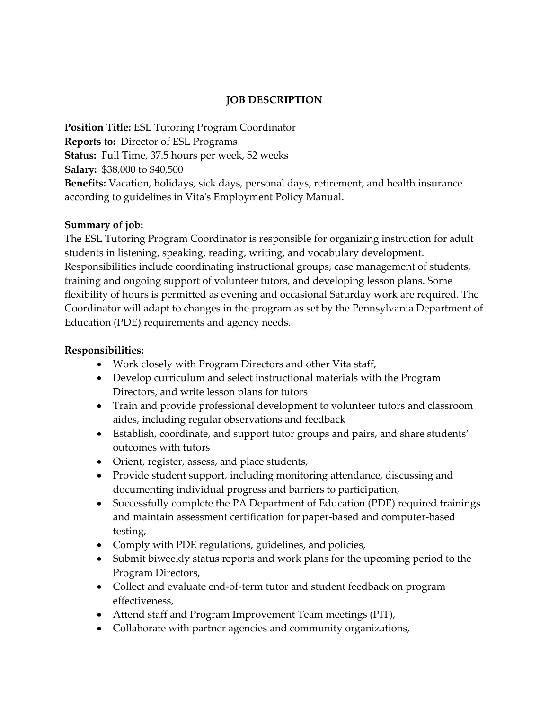# **JOB DESCRIPTION**

**Position Title:** ESL Tutoring Program Coordinator **Reports to:** Director of ESL Programs **Status:** Full Time, 37.5 hours per week, 52 weeks **Salary:** \$38,000 to \$40,500 **Benefits:** Vacation, holidays, sick days, personal days, retirement, and health insurance according to guidelines in Vita's Employment Policy Manual.

#### **Summary of job:**

The ESL Tutoring Program Coordinator is responsible for organizing instruction for adult students in listening, speaking, reading, writing, and vocabulary development. Responsibilities include coordinating instructional groups, case management of students, training and ongoing support of volunteer tutors, and developing lesson plans. Some flexibility of hours is permitted as evening and occasional Saturday work are required. The Coordinator will adapt to changes in the program as set by the Pennsylvania Department of Education (PDE) requirements and agency needs.

### **Responsibilities:**

- Work closely with Program Directors and other Vita staff,
- Develop curriculum and select instructional materials with the Program Directors, and write lesson plans for tutors
- Train and provide professional development to volunteer tutors and classroom aides, including regular observations and feedback
- Establish, coordinate, and support tutor groups and pairs, and share students' outcomes with tutors
- Orient, register, assess, and place students,
- Provide student support, including monitoring attendance, discussing and documenting individual progress and barriers to participation,
- Successfully complete the PA Department of Education (PDE) required trainings and maintain assessment certification for paper-based and computer-based testing,
- Comply with PDE regulations, guidelines, and policies,
- Submit biweekly status reports and work plans for the upcoming period to the Program Directors,
- Collect and evaluate end-of-term tutor and student feedback on program effectiveness,
- Attend staff and Program Improvement Team meetings (PIT),
- Collaborate with partner agencies and community organizations,